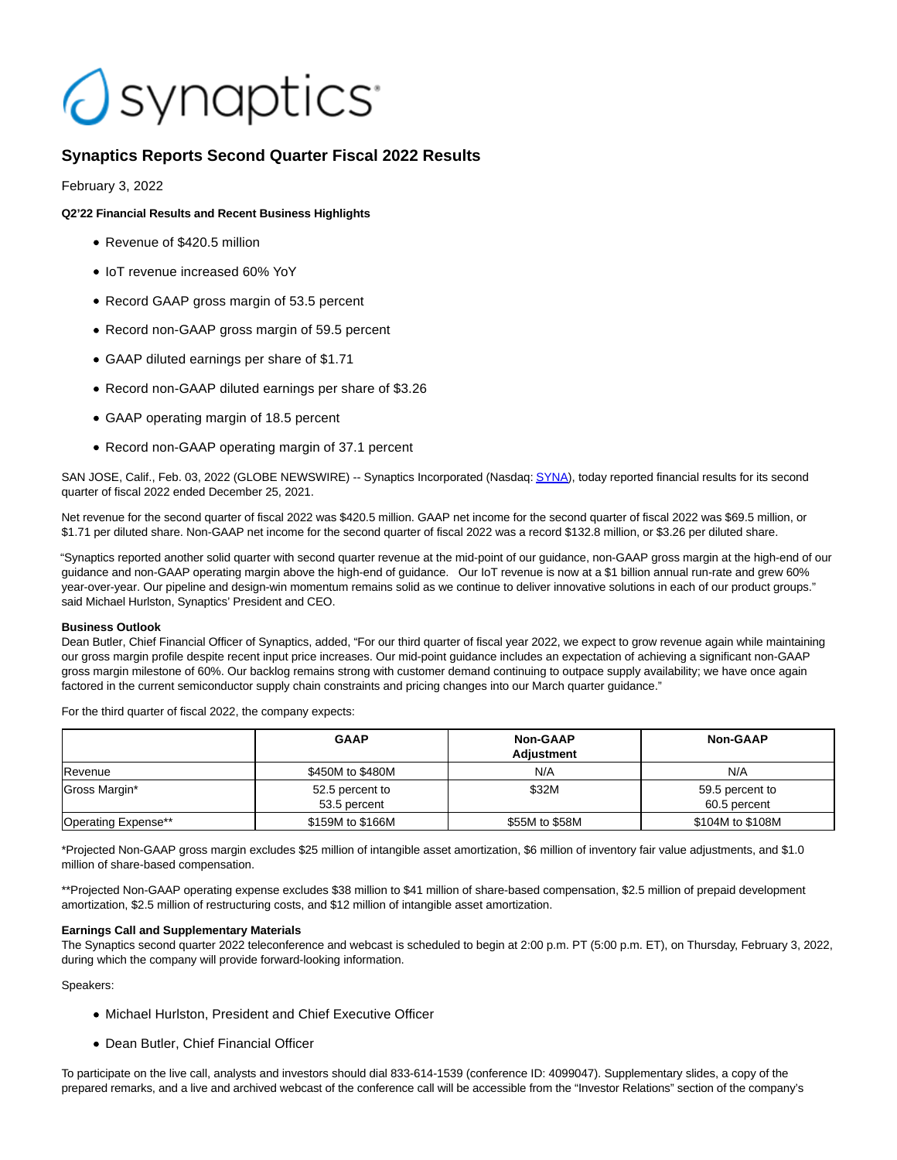# Osynaptics<sup>®</sup>

# **Synaptics Reports Second Quarter Fiscal 2022 Results**

February 3, 2022

## **Q2'22 Financial Results and Recent Business Highlights**

- Revenue of \$420.5 million
- IoT revenue increased 60% YoY
- Record GAAP gross margin of 53.5 percent
- Record non-GAAP gross margin of 59.5 percent
- GAAP diluted earnings per share of \$1.71
- Record non-GAAP diluted earnings per share of \$3.26
- GAAP operating margin of 18.5 percent
- Record non-GAAP operating margin of 37.1 percent

SAN JOSE, Calif., Feb. 03, 2022 (GLOBE NEWSWIRE) -- Synaptics Incorporated (Nasdaq[: SYNA\),](https://www.globenewswire.com/Tracker?data=4D_--wtkbmlCoIaiPoUtSWsvgoUJFnxvO2ddaQts729Th0Rn6jFQjR65C1ALyByxat7M7vKKUD4LXUBenT44mg==) today reported financial results for its second quarter of fiscal 2022 ended December 25, 2021.

Net revenue for the second quarter of fiscal 2022 was \$420.5 million. GAAP net income for the second quarter of fiscal 2022 was \$69.5 million, or \$1.71 per diluted share. Non-GAAP net income for the second quarter of fiscal 2022 was a record \$132.8 million, or \$3.26 per diluted share.

"Synaptics reported another solid quarter with second quarter revenue at the mid-point of our guidance, non-GAAP gross margin at the high-end of our guidance and non-GAAP operating margin above the high-end of guidance. Our IoT revenue is now at a \$1 billion annual run-rate and grew 60% year-over-year. Our pipeline and design-win momentum remains solid as we continue to deliver innovative solutions in each of our product groups." said Michael Hurlston, Synaptics' President and CEO.

## **Business Outlook**

Dean Butler, Chief Financial Officer of Synaptics, added, "For our third quarter of fiscal year 2022, we expect to grow revenue again while maintaining our gross margin profile despite recent input price increases. Our mid-point guidance includes an expectation of achieving a significant non-GAAP gross margin milestone of 60%. Our backlog remains strong with customer demand continuing to outpace supply availability; we have once again factored in the current semiconductor supply chain constraints and pricing changes into our March quarter guidance."

For the third quarter of fiscal 2022, the company expects:

|                     | <b>GAAP</b>                     | <b>Non-GAAP</b><br>Adiustment | <b>Non-GAAP</b>                 |
|---------------------|---------------------------------|-------------------------------|---------------------------------|
| Revenue             | \$450M to \$480M                | N/A                           | N/A                             |
| Gross Margin*       | 52.5 percent to<br>53.5 percent | \$32M                         | 59.5 percent to<br>60.5 percent |
| Operating Expense** | \$159M to \$166M                | \$55M to \$58M                | \$104M to \$108M                |

\*Projected Non-GAAP gross margin excludes \$25 million of intangible asset amortization, \$6 million of inventory fair value adjustments, and \$1.0 million of share-based compensation.

\*\*Projected Non-GAAP operating expense excludes \$38 million to \$41 million of share-based compensation, \$2.5 million of prepaid development amortization, \$2.5 million of restructuring costs, and \$12 million of intangible asset amortization.

## **Earnings Call and Supplementary Materials**

The Synaptics second quarter 2022 teleconference and webcast is scheduled to begin at 2:00 p.m. PT (5:00 p.m. ET), on Thursday, February 3, 2022, during which the company will provide forward-looking information.

Speakers:

- Michael Hurlston, President and Chief Executive Officer
- Dean Butler, Chief Financial Officer

To participate on the live call, analysts and investors should dial 833-614-1539 (conference ID: 4099047). Supplementary slides, a copy of the prepared remarks, and a live and archived webcast of the conference call will be accessible from the "Investor Relations" section of the company's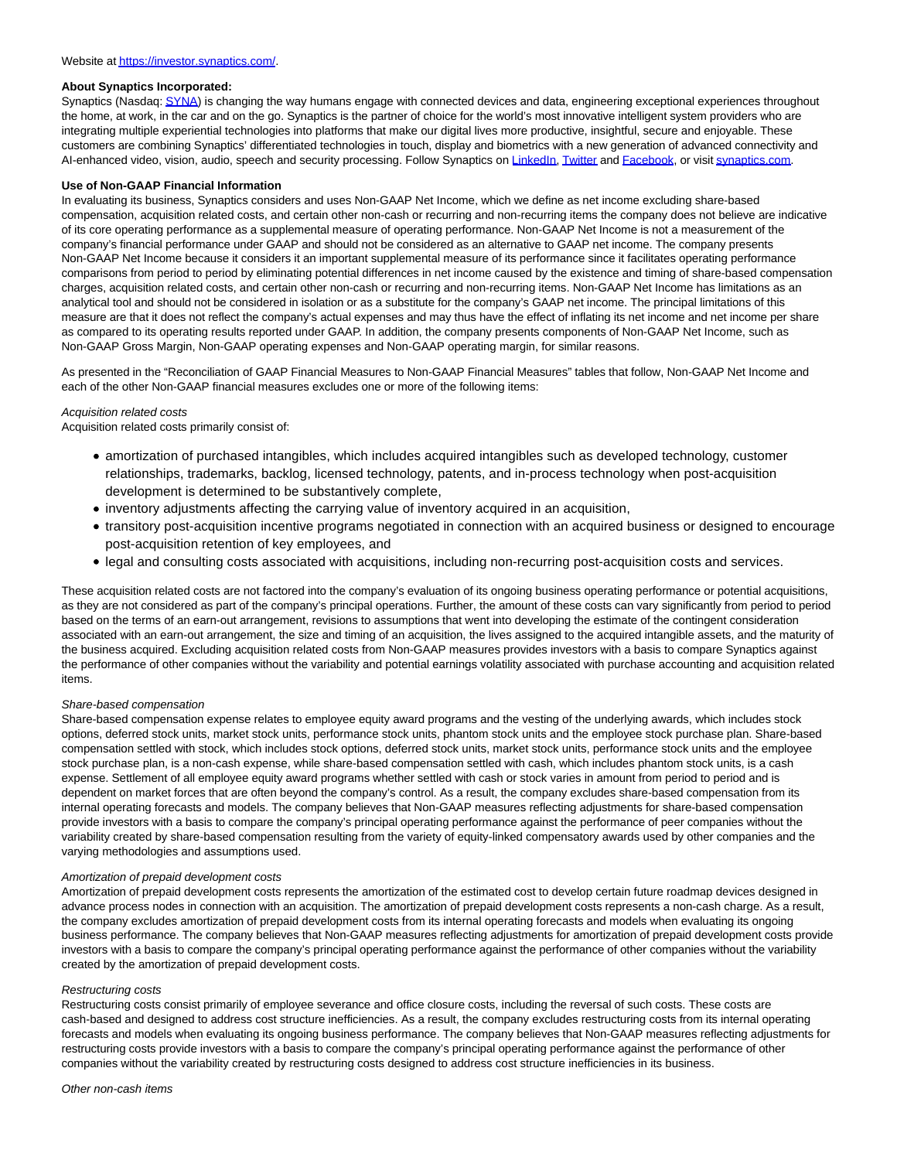#### **About Synaptics Incorporated:**

Synaptics (Nasdaq[: SYNA\)](https://www.globenewswire.com/Tracker?data=atY-LLw9-eMIv3KoGaezvh-DvRpx2O72Gn5ZljPeOC4c6Pd0GFJrQgv3zMKtrIU21EcuPU1MWVyFa90gKncFeA==) is changing the way humans engage with connected devices and data, engineering exceptional experiences throughout the home, at work, in the car and on the go. Synaptics is the partner of choice for the world's most innovative intelligent system providers who are integrating multiple experiential technologies into platforms that make our digital lives more productive, insightful, secure and enjoyable. These customers are combining Synaptics' differentiated technologies in touch, display and biometrics with a new generation of advanced connectivity and AI-enhanced video, vision, audio, speech and security processing. Follow Synaptics on [LinkedIn,](https://www.globenewswire.com/Tracker?data=9xwrExSNIK7BNOQzwKvqTer-RAOYpmXiZpsDdluEKQp8ryV3XS35xYhQ619Fxy-OigF1Yrbmd8zd2pqMXJr99VdlM84qY7BP23N1PSrLp3M=) [Twitter a](https://www.globenewswire.com/Tracker?data=lLaUfaTbJCS7JG3jYP5Uq8aA1PHaOFghM9qkSPzN-gqpS_nka5oFdIzNwWGdcpNrphjbyCbCeDXHxxf5veVQBA==)nd [Facebook,](https://www.globenewswire.com/Tracker?data=ntmlfqCe0slTc_buO5g91SA8xPNZlEzGAvFzOA5vQn5qk6ChS9QnTLySn3VkDl3ebs7odcZ_ZHMhqpGZbP3cvKGnJ_Cu7d5XrbGdDKBBfJA=) or visi[t synaptics.com.](https://www.globenewswire.com/Tracker?data=PJljHtT-r61JkqEZGd009Yuyv-PvvBA_tUXlFZdMOKYKDF_zat41Hn6Z9sA_pvvcbQ077YF52NhTF23yUfLCBw==)

#### **Use of Non-GAAP Financial Information**

In evaluating its business, Synaptics considers and uses Non-GAAP Net Income, which we define as net income excluding share-based compensation, acquisition related costs, and certain other non-cash or recurring and non-recurring items the company does not believe are indicative of its core operating performance as a supplemental measure of operating performance. Non-GAAP Net Income is not a measurement of the company's financial performance under GAAP and should not be considered as an alternative to GAAP net income. The company presents Non-GAAP Net Income because it considers it an important supplemental measure of its performance since it facilitates operating performance comparisons from period to period by eliminating potential differences in net income caused by the existence and timing of share-based compensation charges, acquisition related costs, and certain other non-cash or recurring and non-recurring items. Non-GAAP Net Income has limitations as an analytical tool and should not be considered in isolation or as a substitute for the company's GAAP net income. The principal limitations of this measure are that it does not reflect the company's actual expenses and may thus have the effect of inflating its net income and net income per share as compared to its operating results reported under GAAP. In addition, the company presents components of Non-GAAP Net Income, such as Non-GAAP Gross Margin, Non-GAAP operating expenses and Non-GAAP operating margin, for similar reasons.

As presented in the "Reconciliation of GAAP Financial Measures to Non-GAAP Financial Measures" tables that follow, Non-GAAP Net Income and each of the other Non-GAAP financial measures excludes one or more of the following items:

#### Acquisition related costs

Acquisition related costs primarily consist of:

- amortization of purchased intangibles, which includes acquired intangibles such as developed technology, customer relationships, trademarks, backlog, licensed technology, patents, and in-process technology when post-acquisition development is determined to be substantively complete,
- inventory adjustments affecting the carrying value of inventory acquired in an acquisition,
- transitory post-acquisition incentive programs negotiated in connection with an acquired business or designed to encourage post-acquisition retention of key employees, and
- legal and consulting costs associated with acquisitions, including non-recurring post-acquisition costs and services.

These acquisition related costs are not factored into the company's evaluation of its ongoing business operating performance or potential acquisitions, as they are not considered as part of the company's principal operations. Further, the amount of these costs can vary significantly from period to period based on the terms of an earn-out arrangement, revisions to assumptions that went into developing the estimate of the contingent consideration associated with an earn-out arrangement, the size and timing of an acquisition, the lives assigned to the acquired intangible assets, and the maturity of the business acquired. Excluding acquisition related costs from Non-GAAP measures provides investors with a basis to compare Synaptics against the performance of other companies without the variability and potential earnings volatility associated with purchase accounting and acquisition related items.

#### Share-based compensation

Share-based compensation expense relates to employee equity award programs and the vesting of the underlying awards, which includes stock options, deferred stock units, market stock units, performance stock units, phantom stock units and the employee stock purchase plan. Share-based compensation settled with stock, which includes stock options, deferred stock units, market stock units, performance stock units and the employee stock purchase plan, is a non-cash expense, while share-based compensation settled with cash, which includes phantom stock units, is a cash expense. Settlement of all employee equity award programs whether settled with cash or stock varies in amount from period to period and is dependent on market forces that are often beyond the company's control. As a result, the company excludes share-based compensation from its internal operating forecasts and models. The company believes that Non-GAAP measures reflecting adjustments for share-based compensation provide investors with a basis to compare the company's principal operating performance against the performance of peer companies without the variability created by share-based compensation resulting from the variety of equity-linked compensatory awards used by other companies and the varying methodologies and assumptions used.

#### Amortization of prepaid development costs

Amortization of prepaid development costs represents the amortization of the estimated cost to develop certain future roadmap devices designed in advance process nodes in connection with an acquisition. The amortization of prepaid development costs represents a non-cash charge. As a result, the company excludes amortization of prepaid development costs from its internal operating forecasts and models when evaluating its ongoing business performance. The company believes that Non-GAAP measures reflecting adjustments for amortization of prepaid development costs provide investors with a basis to compare the company's principal operating performance against the performance of other companies without the variability created by the amortization of prepaid development costs.

#### Restructuring costs

Restructuring costs consist primarily of employee severance and office closure costs, including the reversal of such costs. These costs are cash-based and designed to address cost structure inefficiencies. As a result, the company excludes restructuring costs from its internal operating forecasts and models when evaluating its ongoing business performance. The company believes that Non-GAAP measures reflecting adjustments for restructuring costs provide investors with a basis to compare the company's principal operating performance against the performance of other companies without the variability created by restructuring costs designed to address cost structure inefficiencies in its business.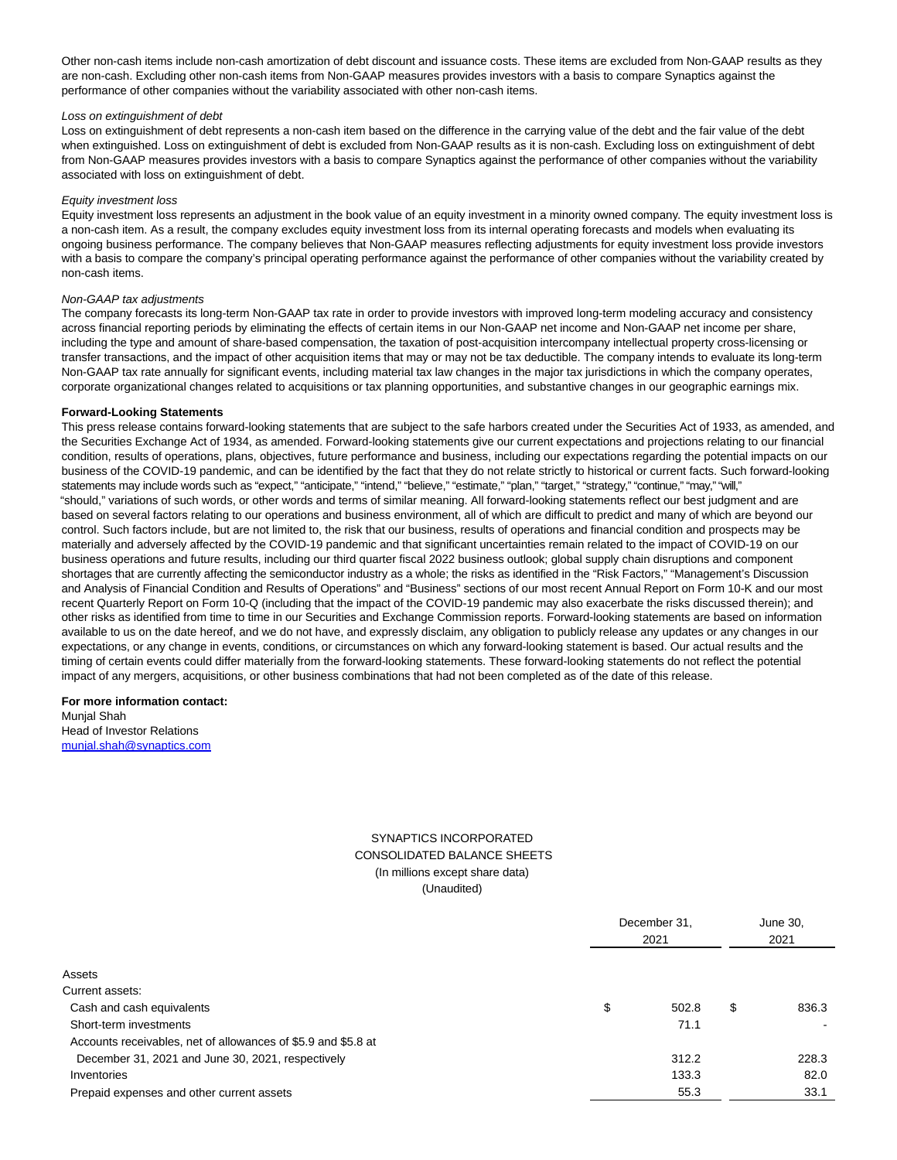Other non-cash items include non-cash amortization of debt discount and issuance costs. These items are excluded from Non-GAAP results as they are non-cash. Excluding other non-cash items from Non-GAAP measures provides investors with a basis to compare Synaptics against the performance of other companies without the variability associated with other non-cash items.

#### Loss on extinguishment of debt

Loss on extinguishment of debt represents a non-cash item based on the difference in the carrying value of the debt and the fair value of the debt when extinguished. Loss on extinguishment of debt is excluded from Non-GAAP results as it is non-cash. Excluding loss on extinguishment of debt from Non-GAAP measures provides investors with a basis to compare Synaptics against the performance of other companies without the variability associated with loss on extinguishment of debt.

#### Equity investment loss

Equity investment loss represents an adjustment in the book value of an equity investment in a minority owned company. The equity investment loss is a non-cash item. As a result, the company excludes equity investment loss from its internal operating forecasts and models when evaluating its ongoing business performance. The company believes that Non-GAAP measures reflecting adjustments for equity investment loss provide investors with a basis to compare the company's principal operating performance against the performance of other companies without the variability created by non-cash items.

## Non-GAAP tax adjustments

The company forecasts its long-term Non-GAAP tax rate in order to provide investors with improved long-term modeling accuracy and consistency across financial reporting periods by eliminating the effects of certain items in our Non-GAAP net income and Non-GAAP net income per share, including the type and amount of share-based compensation, the taxation of post-acquisition intercompany intellectual property cross-licensing or transfer transactions, and the impact of other acquisition items that may or may not be tax deductible. The company intends to evaluate its long-term Non-GAAP tax rate annually for significant events, including material tax law changes in the major tax jurisdictions in which the company operates, corporate organizational changes related to acquisitions or tax planning opportunities, and substantive changes in our geographic earnings mix.

#### **Forward-Looking Statements**

This press release contains forward-looking statements that are subject to the safe harbors created under the Securities Act of 1933, as amended, and the Securities Exchange Act of 1934, as amended. Forward-looking statements give our current expectations and projections relating to our financial condition, results of operations, plans, objectives, future performance and business, including our expectations regarding the potential impacts on our business of the COVID-19 pandemic, and can be identified by the fact that they do not relate strictly to historical or current facts. Such forward-looking statements may include words such as "expect," "anticipate," "intend," "believe," "estimate," "plan," "target," "strategy," "continue," "may," "will," "should," variations of such words, or other words and terms of similar meaning. All forward-looking statements reflect our best judgment and are based on several factors relating to our operations and business environment, all of which are difficult to predict and many of which are beyond our control. Such factors include, but are not limited to, the risk that our business, results of operations and financial condition and prospects may be materially and adversely affected by the COVID-19 pandemic and that significant uncertainties remain related to the impact of COVID-19 on our business operations and future results, including our third quarter fiscal 2022 business outlook; global supply chain disruptions and component shortages that are currently affecting the semiconductor industry as a whole; the risks as identified in the "Risk Factors," "Management's Discussion and Analysis of Financial Condition and Results of Operations" and "Business" sections of our most recent Annual Report on Form 10-K and our most recent Quarterly Report on Form 10-Q (including that the impact of the COVID-19 pandemic may also exacerbate the risks discussed therein); and other risks as identified from time to time in our Securities and Exchange Commission reports. Forward-looking statements are based on information available to us on the date hereof, and we do not have, and expressly disclaim, any obligation to publicly release any updates or any changes in our expectations, or any change in events, conditions, or circumstances on which any forward-looking statement is based. Our actual results and the timing of certain events could differ materially from the forward-looking statements. These forward-looking statements do not reflect the potential impact of any mergers, acquisitions, or other business combinations that had not been completed as of the date of this release.

## **For more information contact:** Munjal Shah Head of Investor Relations

[munjal.shah@synaptics.com](https://www.globenewswire.com/Tracker?data=IxezZUClBY8S6DhySbeHDQv1fCpSL3USevSBvK7Scml3Dgrw-rSEMuNdc6IHlYG33124JcZDLZfnJnH-F6e4B7gslzQaBoCb-Lsji-Gytp0=)

# SYNAPTICS INCORPORATED CONSOLIDATED BALANCE SHEETS (In millions except share data) (Unaudited)

|                                                               |      | December 31, |    | June 30, |  |  |
|---------------------------------------------------------------|------|--------------|----|----------|--|--|
|                                                               | 2021 |              |    | 2021     |  |  |
|                                                               |      |              |    |          |  |  |
| Assets                                                        |      |              |    |          |  |  |
| Current assets:                                               |      |              |    |          |  |  |
| Cash and cash equivalents                                     | \$   | 502.8        | \$ | 836.3    |  |  |
| Short-term investments                                        |      | 71.1         |    |          |  |  |
| Accounts receivables, net of allowances of \$5.9 and \$5.8 at |      |              |    |          |  |  |
| December 31, 2021 and June 30, 2021, respectively             |      | 312.2        |    | 228.3    |  |  |
| Inventories                                                   |      | 133.3        |    | 82.0     |  |  |
| Prepaid expenses and other current assets                     |      | 55.3         |    | 33.1     |  |  |
|                                                               |      |              |    |          |  |  |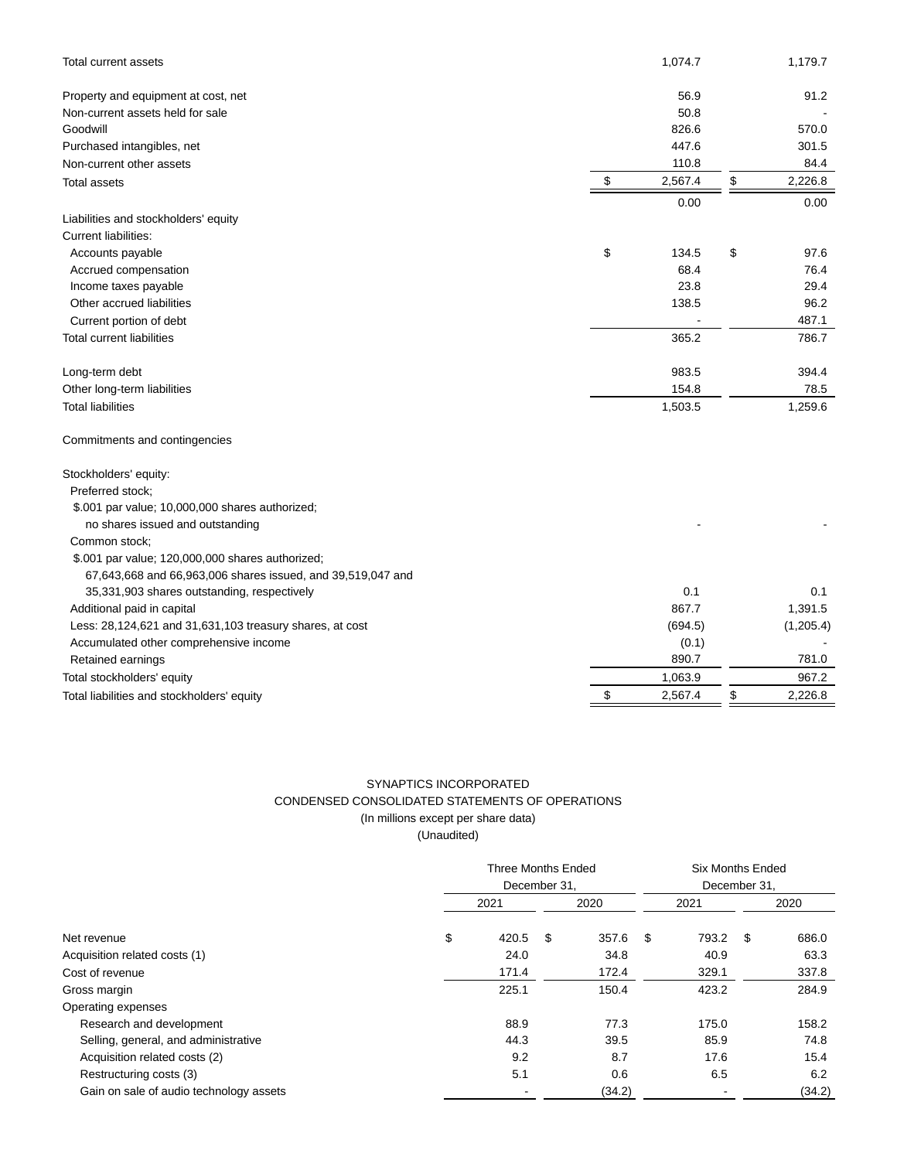| Total current assets                                        | 1,074.7       | 1,179.7       |
|-------------------------------------------------------------|---------------|---------------|
| Property and equipment at cost, net                         | 56.9          | 91.2          |
| Non-current assets held for sale                            | 50.8          |               |
| Goodwill                                                    | 826.6         | 570.0         |
| Purchased intangibles, net                                  | 447.6         | 301.5         |
| Non-current other assets                                    | 110.8         | 84.4          |
| <b>Total assets</b>                                         | \$<br>2,567.4 | \$<br>2,226.8 |
|                                                             | 0.00          | 0.00          |
| Liabilities and stockholders' equity                        |               |               |
| <b>Current liabilities:</b>                                 |               |               |
| Accounts payable                                            | \$<br>134.5   | \$<br>97.6    |
| Accrued compensation                                        | 68.4          | 76.4          |
| Income taxes payable                                        | 23.8          | 29.4          |
| Other accrued liabilities                                   | 138.5         | 96.2          |
| Current portion of debt                                     |               | 487.1         |
| <b>Total current liabilities</b>                            | 365.2         | 786.7         |
|                                                             |               |               |
| Long-term debt                                              | 983.5         | 394.4         |
| Other long-term liabilities                                 | 154.8         | 78.5          |
| <b>Total liabilities</b>                                    | 1,503.5       | 1,259.6       |
| Commitments and contingencies                               |               |               |
| Stockholders' equity:                                       |               |               |
| Preferred stock;                                            |               |               |
| \$.001 par value; 10,000,000 shares authorized;             |               |               |
| no shares issued and outstanding                            |               |               |
| Common stock;                                               |               |               |
| \$.001 par value; 120,000,000 shares authorized;            |               |               |
| 67,643,668 and 66,963,006 shares issued, and 39,519,047 and |               |               |
| 35,331,903 shares outstanding, respectively                 | 0.1           | 0.1           |
| Additional paid in capital                                  | 867.7         | 1,391.5       |
| Less: 28,124,621 and 31,631,103 treasury shares, at cost    | (694.5)       | (1,205.4)     |
| Accumulated other comprehensive income                      | (0.1)         |               |
| Retained earnings                                           | 890.7         | 781.0         |
| Total stockholders' equity                                  | 1,063.9       | 967.2         |
| Total liabilities and stockholders' equity                  | \$<br>2,567.4 | \$<br>2,226.8 |

# SYNAPTICS INCORPORATED CONDENSED CONSOLIDATED STATEMENTS OF OPERATIONS (In millions except per share data) (Unaudited)

|                                         | <b>Three Months Ended</b><br>December 31, |    |        | <b>Six Months Ended</b><br>December 31. |       |               |        |
|-----------------------------------------|-------------------------------------------|----|--------|-----------------------------------------|-------|---------------|--------|
|                                         | 2021                                      |    | 2020   |                                         | 2021  |               | 2020   |
| Net revenue                             | \$<br>420.5                               | \$ | 357.6  | \$                                      | 793.2 | $\mathcal{S}$ | 686.0  |
| Acquisition related costs (1)           | 24.0                                      |    | 34.8   |                                         | 40.9  |               | 63.3   |
| Cost of revenue                         | 171.4                                     |    | 172.4  |                                         | 329.1 |               | 337.8  |
| Gross margin                            | 225.1                                     |    | 150.4  |                                         | 423.2 |               | 284.9  |
| Operating expenses                      |                                           |    |        |                                         |       |               |        |
| Research and development                | 88.9                                      |    | 77.3   |                                         | 175.0 |               | 158.2  |
| Selling, general, and administrative    | 44.3                                      |    | 39.5   |                                         | 85.9  |               | 74.8   |
| Acquisition related costs (2)           | 9.2                                       |    | 8.7    |                                         | 17.6  |               | 15.4   |
| Restructuring costs (3)                 | 5.1                                       |    | 0.6    |                                         | 6.5   |               | 6.2    |
| Gain on sale of audio technology assets |                                           |    | (34.2) |                                         |       |               | (34.2) |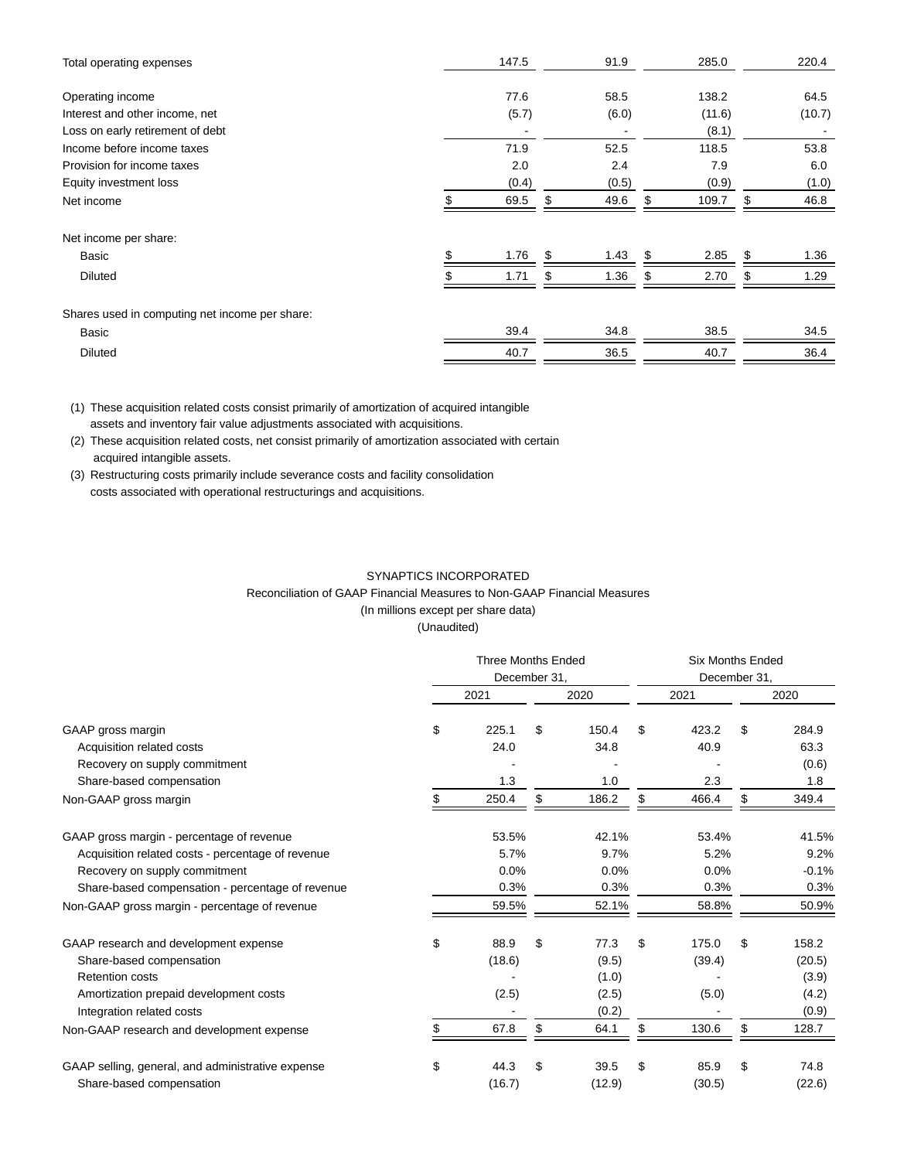| Total operating expenses                       | 147.5 |   | 91.9  | 285.0  |   | 220.4  |
|------------------------------------------------|-------|---|-------|--------|---|--------|
| Operating income                               | 77.6  |   | 58.5  | 138.2  |   | 64.5   |
| Interest and other income, net                 | (5.7) |   | (6.0) | (11.6) |   | (10.7) |
| Loss on early retirement of debt               |       |   |       | (8.1)  |   |        |
| Income before income taxes                     | 71.9  |   | 52.5  | 118.5  |   | 53.8   |
| Provision for income taxes                     | 2.0   |   | 2.4   | 7.9    |   | 6.0    |
| Equity investment loss                         | (0.4) |   | (0.5) | (0.9)  |   | (1.0)  |
| Net income                                     | 69.5  |   | 49.6  | 109.7  |   | 46.8   |
| Net income per share:                          |       |   |       |        |   |        |
| Basic                                          | 1.76  | S | 1.43  | 2.85   | S | 1.36   |
| <b>Diluted</b>                                 | 1.71  |   | 1.36  | 2.70   |   | 1.29   |
| Shares used in computing net income per share: |       |   |       |        |   |        |
| Basic                                          | 39.4  |   | 34.8  | 38.5   |   | 34.5   |
| Diluted                                        | 40.7  |   | 36.5  | 40.7   |   | 36.4   |
|                                                |       |   |       |        |   |        |

(1) These acquisition related costs consist primarily of amortization of acquired intangible assets and inventory fair value adjustments associated with acquisitions.

(2) These acquisition related costs, net consist primarily of amortization associated with certain acquired intangible assets.

(3) Restructuring costs primarily include severance costs and facility consolidation costs associated with operational restructurings and acquisitions.

# SYNAPTICS INCORPORATED Reconciliation of GAAP Financial Measures to Non-GAAP Financial Measures (In millions except per share data) (Unaudited)

|                                                   |    | <b>Three Months Ended</b><br>December 31, |    |        | <b>Six Months Ended</b><br>December 31, |        |    |         |
|---------------------------------------------------|----|-------------------------------------------|----|--------|-----------------------------------------|--------|----|---------|
|                                                   |    | 2021                                      |    | 2020   |                                         | 2021   |    | 2020    |
| GAAP gross margin                                 | \$ | 225.1                                     | \$ | 150.4  | \$                                      | 423.2  | \$ | 284.9   |
| Acquisition related costs                         |    | 24.0                                      |    | 34.8   |                                         | 40.9   |    | 63.3    |
| Recovery on supply commitment                     |    |                                           |    |        |                                         |        |    | (0.6)   |
| Share-based compensation                          |    | 1.3                                       |    | 1.0    |                                         | 2.3    |    | 1.8     |
| Non-GAAP gross margin                             | \$ | 250.4                                     | \$ | 186.2  | \$                                      | 466.4  | \$ | 349.4   |
| GAAP gross margin - percentage of revenue         |    | 53.5%                                     |    | 42.1%  |                                         | 53.4%  |    | 41.5%   |
| Acquisition related costs - percentage of revenue |    | 5.7%                                      |    | 9.7%   |                                         | 5.2%   |    | 9.2%    |
| Recovery on supply commitment                     |    | 0.0%                                      |    | 0.0%   |                                         | 0.0%   |    | $-0.1%$ |
| Share-based compensation - percentage of revenue  |    | 0.3%                                      |    | 0.3%   |                                         | 0.3%   |    | 0.3%    |
| Non-GAAP gross margin - percentage of revenue     |    | 59.5%                                     |    | 52.1%  |                                         | 58.8%  |    | 50.9%   |
| GAAP research and development expense             | \$ | 88.9                                      | \$ | 77.3   | \$                                      | 175.0  | \$ | 158.2   |
| Share-based compensation                          |    | (18.6)                                    |    | (9.5)  |                                         | (39.4) |    | (20.5)  |
| <b>Retention costs</b>                            |    |                                           |    | (1.0)  |                                         |        |    | (3.9)   |
| Amortization prepaid development costs            |    | (2.5)                                     |    | (2.5)  |                                         | (5.0)  |    | (4.2)   |
| Integration related costs                         |    |                                           |    | (0.2)  |                                         |        |    | (0.9)   |
| Non-GAAP research and development expense         | S  | 67.8                                      | S  | 64.1   | \$                                      | 130.6  | \$ | 128.7   |
| GAAP selling, general, and administrative expense | \$ | 44.3                                      | \$ | 39.5   | \$                                      | 85.9   | \$ | 74.8    |
| Share-based compensation                          |    | (16.7)                                    |    | (12.9) |                                         | (30.5) |    | (22.6)  |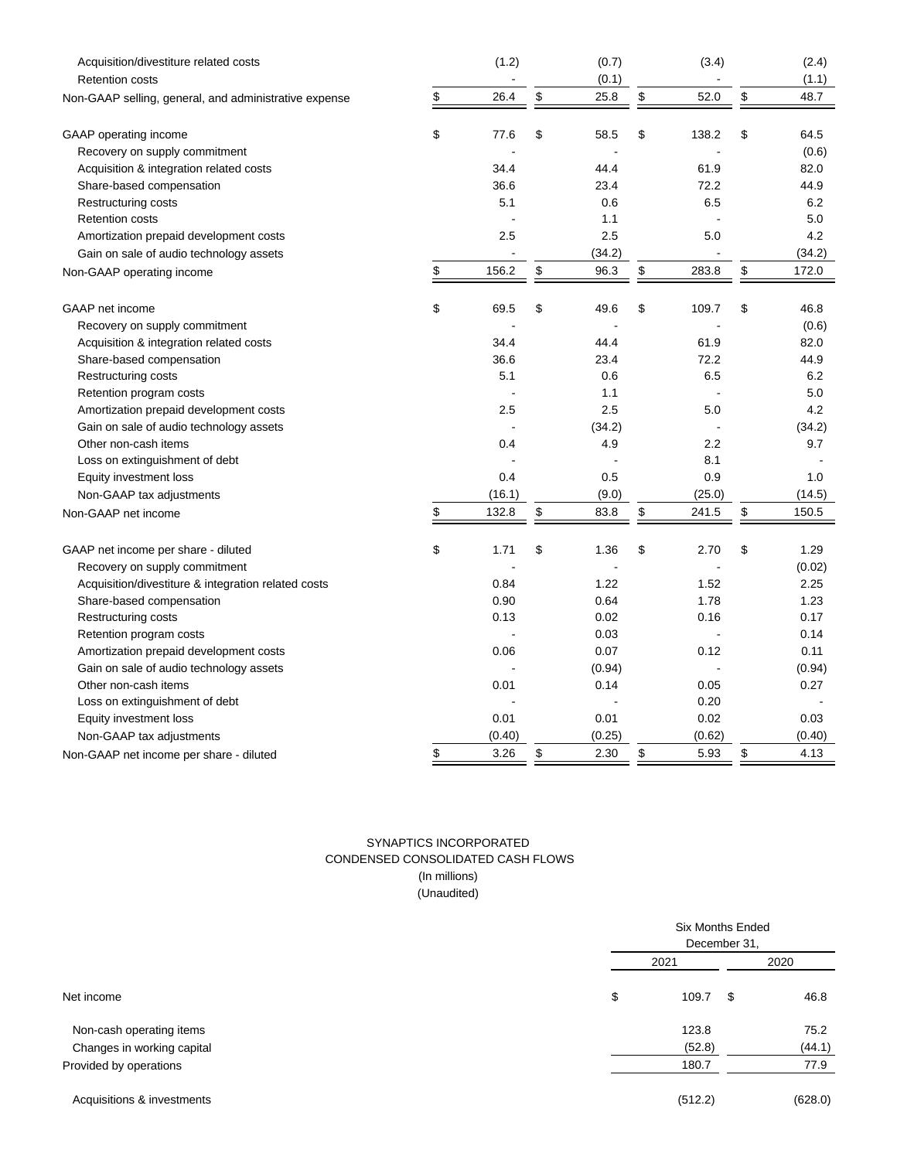| Acquisition/divestiture related costs<br><b>Retention costs</b>     | (1.2)       | (0.7)<br>(0.1) | (3.4)       | (2.4)<br>(1.1) |
|---------------------------------------------------------------------|-------------|----------------|-------------|----------------|
|                                                                     | 26.4        | \$<br>25.8     | \$<br>52.0  | \$<br>48.7     |
| Non-GAAP selling, general, and administrative expense               | \$          |                |             |                |
| GAAP operating income                                               | \$<br>77.6  | \$<br>58.5     | \$<br>138.2 | \$<br>64.5     |
| Recovery on supply commitment                                       |             |                |             | (0.6)          |
| Acquisition & integration related costs                             | 34.4        | 44.4           | 61.9        | 82.0           |
| Share-based compensation                                            | 36.6        | 23.4           | 72.2        | 44.9           |
| Restructuring costs                                                 | 5.1         | 0.6            | 6.5         | 6.2            |
| <b>Retention costs</b>                                              |             | 1.1            |             | 5.0            |
| Amortization prepaid development costs                              | 2.5         | 2.5            | 5.0         | 4.2            |
| Gain on sale of audio technology assets                             |             | (34.2)         |             | (34.2)         |
| Non-GAAP operating income                                           | \$<br>156.2 | \$<br>96.3     | \$<br>283.8 | \$<br>172.0    |
| GAAP net income                                                     | \$<br>69.5  | \$<br>49.6     | \$<br>109.7 | \$<br>46.8     |
|                                                                     |             |                |             |                |
| Recovery on supply commitment                                       | 34.4        | 44.4           | 61.9        | (0.6)<br>82.0  |
| Acquisition & integration related costs<br>Share-based compensation | 36.6        | 23.4           | 72.2        | 44.9           |
|                                                                     | 5.1         | 0.6            | 6.5         | 6.2            |
| <b>Restructuring costs</b>                                          |             | 1.1            |             | 5.0            |
| Retention program costs<br>Amortization prepaid development costs   | 2.5         | 2.5            | 5.0         | 4.2            |
| Gain on sale of audio technology assets                             |             | (34.2)         |             | (34.2)         |
| Other non-cash items                                                | 0.4         | 4.9            | 2.2         | 9.7            |
| Loss on extinguishment of debt                                      |             |                | 8.1         |                |
| Equity investment loss                                              | 0.4         | 0.5            | 0.9         | 1.0            |
| Non-GAAP tax adjustments                                            | (16.1)      | (9.0)          | (25.0)      | (14.5)         |
| Non-GAAP net income                                                 | \$<br>132.8 | \$<br>83.8     | \$<br>241.5 | \$<br>150.5    |
|                                                                     |             |                |             |                |
| GAAP net income per share - diluted                                 | \$<br>1.71  | \$<br>1.36     | \$<br>2.70  | \$<br>1.29     |
| Recovery on supply commitment                                       |             |                |             | (0.02)         |
| Acquisition/divestiture & integration related costs                 | 0.84        | 1.22           | 1.52        | 2.25           |
| Share-based compensation                                            | 0.90        | 0.64           | 1.78        | 1.23           |
| Restructuring costs                                                 | 0.13        | 0.02           | 0.16        | 0.17           |
| Retention program costs                                             |             | 0.03           |             | 0.14           |
| Amortization prepaid development costs                              | 0.06        | 0.07           | 0.12        | 0.11           |
| Gain on sale of audio technology assets                             |             | (0.94)         |             | (0.94)         |
| Other non-cash items                                                | 0.01        | 0.14           | 0.05        | 0.27           |
| Loss on extinguishment of debt                                      |             |                | 0.20        |                |
| Equity investment loss                                              | 0.01        | 0.01           | 0.02        | 0.03           |
| Non-GAAP tax adjustments                                            | (0.40)      | (0.25)         | (0.62)      | (0.40)         |
| Non-GAAP net income per share - diluted                             | \$<br>3.26  | \$<br>2.30     | \$<br>5.93  | \$<br>4.13     |

# SYNAPTICS INCORPORATED CONDENSED CONSOLIDATED CASH FLOWS (In millions) (Unaudited)

|                            | <b>Six Months Ended</b> |              |         |  |
|----------------------------|-------------------------|--------------|---------|--|
|                            |                         | December 31, |         |  |
|                            | 2021                    |              | 2020    |  |
| Net income                 | \$<br>109.7             | $\mathbb{S}$ | 46.8    |  |
| Non-cash operating items   | 123.8                   |              | 75.2    |  |
| Changes in working capital | (52.8)                  |              | (44.1)  |  |
| Provided by operations     | 180.7                   |              | 77.9    |  |
| Acquisitions & investments | (512.2)                 |              | (628.0) |  |